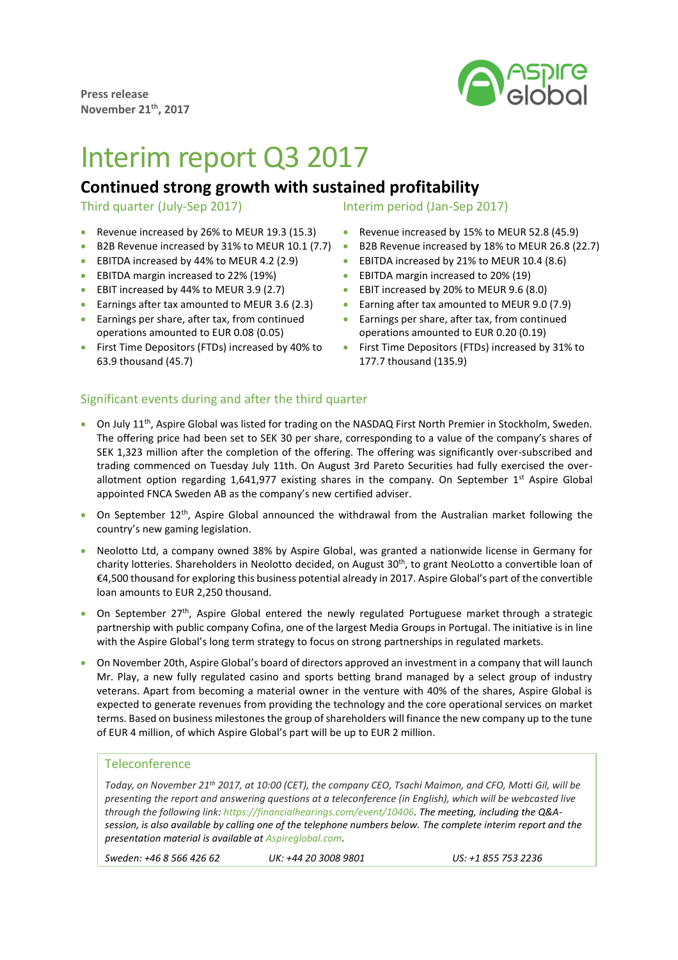**Press release November 21th, 2017**



# Interim report Q3 2017

# **Continued strong growth with sustained profitability**

Third quarter (July-Sep 2017)

- Revenue increased by 26% to MEUR 19.3 (15.3)
- B2B Revenue increased by 31% to MEUR 10.1 (7.7) ●
- EBITDA increased by 44% to MEUR 4.2 (2.9)
- **EBITDA margin increased to 22% (19%)**
- EBIT increased by 44% to MEUR 3.9 (2.7)
- Earnings after tax amounted to MEUR 3.6 (2.3)
- Earnings per share, after tax, from continued operations amounted to EUR 0.08 (0.05)
- **•** First Time Depositors (FTDs) increased by 40% to 63.9 thousand (45.7)

Interim period (Jan-Sep 2017)

- Revenue increased by 15% to MEUR 52.8 (45.9)
- B2B Revenue increased by 18% to MEUR 26.8 (22.7)
- EBITDA increased by 21% to MEUR 10.4 (8.6)
- **EBITDA margin increased to 20% (19)**
- EBIT increased by 20% to MEUR 9.6 (8.0)
- Earning after tax amounted to MEUR 9.0 (7.9)
- Earnings per share, after tax, from continued operations amounted to EUR 0.20 (0.19)
- **•** First Time Depositors (FTDs) increased by 31% to 177.7 thousand (135.9)

## Significant events during and after the third quarter

- On July 11<sup>th</sup>, Aspire Global was listed for trading on the NASDAQ First North Premier in Stockholm, Sweden. The offering price had been set to SEK 30 per share, corresponding to a value of the company's shares of SEK 1,323 million after the completion of the offering. The offering was significantly over-subscribed and trading commenced on Tuesday July 11th. On August 3rd Pareto Securities had fully exercised the overallotment option regarding 1,641,977 existing shares in the company. On September  $1<sup>st</sup>$  Aspire Global appointed FNCA Sweden AB as the company's new certified adviser.
- $\bullet$  On September 12<sup>th</sup>, Aspire Global announced the withdrawal from the Australian market following the country's new gaming legislation.
- Neolotto Ltd, a company owned 38% by Aspire Global, was granted a nationwide license in Germany for charity lotteries. Shareholders in Neolotto decided, on August 30<sup>th</sup>, to grant NeoLotto a convertible loan of €4,500 thousand for exploring this business potential already in 2017. Aspire Global's part of the convertible loan amounts to EUR 2,250 thousand.
- On September 27<sup>th</sup>, Aspire Global entered the newly regulated Portuguese market through a strategic partnership with public company Cofina, one of the largest Media Groups in Portugal. The initiative is in line with the Aspire Global's long term strategy to focus on strong partnerships in regulated markets.
- On November 20th, Aspire Global's board of directors approved an investment in a company that will launch Mr. Play, a new fully regulated casino and sports betting brand managed by a select group of industry veterans. Apart from becoming a material owner in the venture with 40% of the shares, Aspire Global is expected to generate revenues from providing the technology and the core operational services on market terms. Based on business milestones the group of shareholders will finance the new company up to the tune of EUR 4 million, of which Aspire Global's part will be up to EUR 2 million.

### **Teleconference**

*Today, on November 21th 2017, at 10:00 (CET), the company CEO, Tsachi Maimon, and CFO, Motti Gil, will be presenting the report and answering questions at a teleconference (in English), which will be webcasted live through the following link[: https://financialhearings.com/event/10406.](https://financialhearings.com/event/10406) The meeting, including the Q&Asession, is also available by calling one of the telephone numbers below. The complete interim report and the presentation material is available at [Aspireglobal.com.](http://www.aspireglobal.com/)*

*Sweden: +46 8 566 426 62 UK: +44 20 3008 9801 US: +1 855 753 2236*